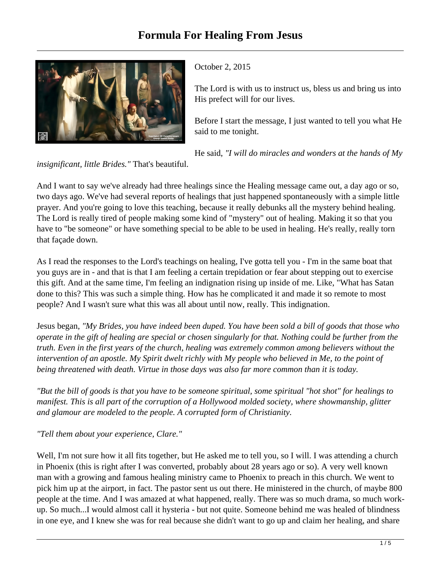

October 2, 2015

The Lord is with us to instruct us, bless us and bring us into His prefect will for our lives.

Before I start the message, I just wanted to tell you what He said to me tonight.

He said, *"I will do miracles and wonders at the hands of My*

*insignificant, little Brides."* That's beautiful.

And I want to say we've already had three healings since the Healing message came out, a day ago or so, two days ago. We've had several reports of healings that just happened spontaneously with a simple little prayer. And you're going to love this teaching, because it really debunks all the mystery behind healing. The Lord is really tired of people making some kind of "mystery" out of healing. Making it so that you have to "be someone" or have something special to be able to be used in healing. He's really, really torn that façade down.

As I read the responses to the Lord's teachings on healing, I've gotta tell you - I'm in the same boat that you guys are in - and that is that I am feeling a certain trepidation or fear about stepping out to exercise this gift. And at the same time, I'm feeling an indignation rising up inside of me. Like, "What has Satan done to this? This was such a simple thing. How has he complicated it and made it so remote to most people? And I wasn't sure what this was all about until now, really*.* This indignation.

Jesus began, *"My Brides, you have indeed been duped. You have been sold a bill of goods that those who operate in the gift of healing are special or chosen singularly for that. Nothing could be further from the truth. Even in the first years of the church, healing was extremely common among believers without the intervention of an apostle. My Spirit dwelt richly with My people who believed in Me, to the point of being threatened with death. Virtue in those days was also far more common than it is today.*

*"But the bill of goods is that you have to be someone spiritual, some spiritual "hot shot" for healings to manifest. This is all part of the corruption of a Hollywood molded society, where showmanship, glitter and glamour are modeled to the people. A corrupted form of Christianity.* 

*"Tell them about your experience, Clare."* 

Well, I'm not sure how it all fits together, but He asked me to tell you, so I will. I was attending a church in Phoenix (this is right after I was converted, probably about 28 years ago or so). A very well known man with a growing and famous healing ministry came to Phoenix to preach in this church. We went to pick him up at the airport, in fact. The pastor sent us out there. He ministered in the church, of maybe 800 people at the time. And I was amazed at what happened, really. There was so much drama, so much workup. So much...I would almost call it hysteria - but not quite. Someone behind me was healed of blindness in one eye, and I knew she was for real because she didn't want to go up and claim her healing, and share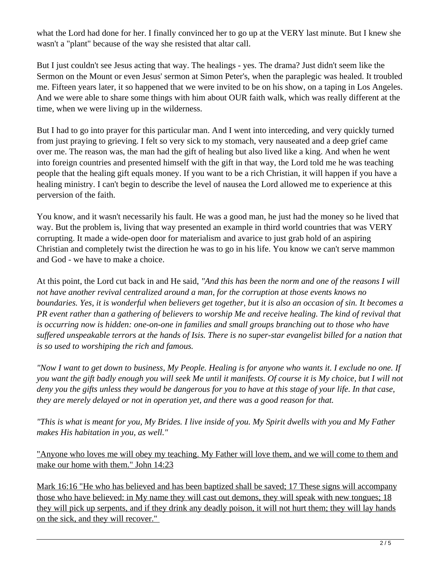what the Lord had done for her. I finally convinced her to go up at the VERY last minute. But I knew she wasn't a "plant" because of the way she resisted that altar call.

But I just couldn't see Jesus acting that way. The healings - yes. The drama? Just didn't seem like the Sermon on the Mount or even Jesus' sermon at Simon Peter's, when the paraplegic was healed. It troubled me. Fifteen years later, it so happened that we were invited to be on his show, on a taping in Los Angeles. And we were able to share some things with him about OUR faith walk, which was really different at the time, when we were living up in the wilderness.

But I had to go into prayer for this particular man. And I went into interceding, and very quickly turned from just praying to grieving. I felt so very sick to my stomach, very nauseated and a deep grief came over me. The reason was, the man had the gift of healing but also lived like a king. And when he went into foreign countries and presented himself with the gift in that way, the Lord told me he was teaching people that the healing gift equals money. If you want to be a rich Christian, it will happen if you have a healing ministry. I can't begin to describe the level of nausea the Lord allowed me to experience at this perversion of the faith.

You know, and it wasn't necessarily his fault. He was a good man, he just had the money so he lived that way. But the problem is, living that way presented an example in third world countries that was VERY corrupting. It made a wide-open door for materialism and avarice to just grab hold of an aspiring Christian and completely twist the direction he was to go in his life. You know we can't serve mammon and God - we have to make a choice.

At this point, the Lord cut back in and He said, *"And this has been the norm and one of the reasons I will not have another revival centralized around a man, for the corruption at those events knows no boundaries. Yes, it is wonderful when believers get together, but it is also an occasion of sin. It becomes a PR event rather than a gathering of believers to worship Me and receive healing. The kind of revival that is occurring now is hidden: one-on-one in families and small groups branching out to those who have suffered unspeakable terrors at the hands of Isis. There is no super-star evangelist billed for a nation that is so used to worshiping the rich and famous.*

*"Now I want to get down to business, My People. Healing is for anyone who wants it. I exclude no one. If you want the gift badly enough you will seek Me until it manifests. Of course it is My choice, but I will not deny you the gifts unless they would be dangerous for you to have at this stage of your life. In that case, they are merely delayed or not in operation yet, and there was a good reason for that.*

*"This is what is meant for you, My Brides. I live inside of you. My Spirit dwells with you and My Father makes His habitation in you, as well."* 

"Anyone who loves me will obey my teaching. My Father will love them, and we will come to them and make our home with them." John 14:23

Mark 16:16 "He who has believed and has been baptized shall be saved; 17 These signs will accompany those who have believed: in My name they will cast out demons, they will speak with new tongues; 18 they will pick up serpents, and if they drink any deadly poison, it will not hurt them; they will lay hands on the sick, and they will recover."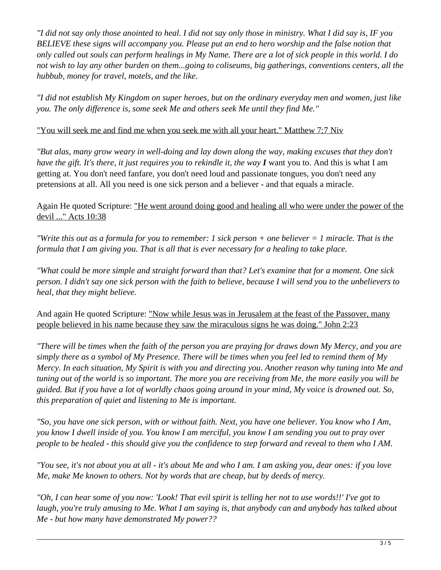*"I did not say only those anointed to heal. I did not say only those in ministry. What I did say is, IF you BELIEVE these signs will accompany you. Please put an end to hero worship and the false notion that only called out souls can perform healings in My Name. There are a lot of sick people in this world. I do not wish to lay any other burden on them...going to coliseums, big gatherings, conventions centers, all the hubbub, money for travel, motels, and the like.* 

*"I did not establish My Kingdom on super heroes, but on the ordinary everyday men and women, just like you. The only difference is, some seek Me and others seek Me until they find Me."* 

"You will seek me and find me when you seek me with all your heart." Matthew 7:7 Niv

*"But alas, many grow weary in well-doing and lay down along the way, making excuses that they don't have the gift. It's there, it just requires you to rekindle it, the way*  $\bf{I}$  *want you to. And this is what I am* getting at. You don't need fanfare, you don't need loud and passionate tongues, you don't need any pretensions at all. All you need is one sick person and a believer - and that equals a miracle.

Again He quoted Scripture: "He went around doing good and healing all who were under the power of the devil ..." Acts 10:38

*"Write this out as a formula for you to remember: 1 sick person + one believer = 1 miracle. That is the formula that I am giving you. That is all that is ever necessary for a healing to take place.*

*"What could be more simple and straight forward than that? Let's examine that for a moment. One sick person. I didn't say one sick person with the faith to believe, because I will send you to the unbelievers to heal, that they might believe.* 

And again He quoted Scripture: "Now while Jesus was in Jerusalem at the feast of the Passover, many people believed in his name because they saw the miraculous signs he was doing." John 2:23

*"There will be times when the faith of the person you are praying for draws down My Mercy, and you are simply there as a symbol of My Presence. There will be times when you feel led to remind them of My Mercy. In each situation, My Spirit is with you and directing you. Another reason why tuning into Me and tuning out of the world is so important. The more you are receiving from Me, the more easily you will be guided. But if you have a lot of worldly chaos going around in your mind, My voice is drowned out. So, this preparation of quiet and listening to Me is important.* 

*"So, you have one sick person, with or without faith. Next, you have one believer. You know who I Am, you know I dwell inside of you. You know I am merciful, you know I am sending you out to pray over people to be healed - this should give you the confidence to step forward and reveal to them who I AM.* 

*"You see, it's not about you at all - it's about Me and who I am. I am asking you, dear ones: if you love Me, make Me known to others. Not by words that are cheap, but by deeds of mercy.* 

*"Oh, I can hear some of you now: 'Look! That evil spirit is telling her not to use words!!' I've got to laugh, you're truly amusing to Me. What I am saying is, that anybody can and anybody has talked about Me - but how many have demonstrated My power??*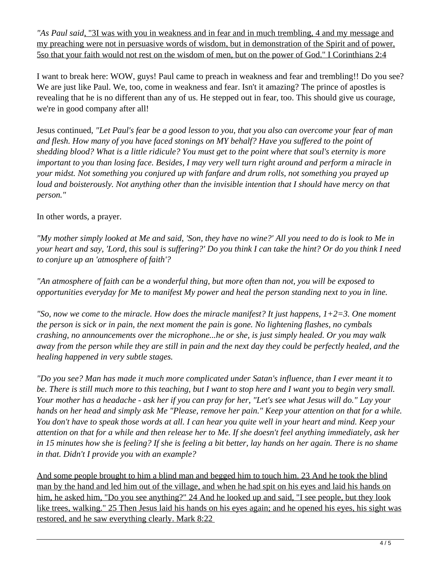*"As Paul said*, "3I was with you in weakness and in fear and in much trembling, 4 and my message and my preaching were not in persuasive words of wisdom, but in demonstration of the Spirit and of power, 5so that your faith would not rest on the wisdom of men, but on the power of God." I Corinthians 2:4

I want to break here: WOW, guys! Paul came to preach in weakness and fear and trembling!! Do you see? We are just like Paul. We, too, come in weakness and fear. Isn't it amazing? The prince of apostles is revealing that he is no different than any of us. He stepped out in fear, too. This should give us courage, we're in good company after all!

Jesus continued*, "Let Paul's fear be a good lesson to you, that you also can overcome your fear of man and flesh. How many of you have faced stonings on MY behalf? Have you suffered to the point of shedding blood? What is a little ridicule? You must get to the point where that soul's eternity is more important to you than losing face. Besides, I may very well turn right around and perform a miracle in your midst. Not something you conjured up with fanfare and drum rolls, not something you prayed up loud and boisterously. Not anything other than the invisible intention that I should have mercy on that person."*

## In other words, a prayer.

*"My mother simply looked at Me and said, 'Son, they have no wine?' All you need to do is look to Me in your heart and say, 'Lord, this soul is suffering?' Do you think I can take the hint? Or do you think I need to conjure up an 'atmosphere of faith'?*

*"An atmosphere of faith can be a wonderful thing, but more often than not, you will be exposed to opportunities everyday for Me to manifest My power and heal the person standing next to you in line.*

*"So, now we come to the miracle. How does the miracle manifest? It just happens, 1+2=3. One moment the person is sick or in pain, the next moment the pain is gone. No lightening flashes, no cymbals crashing, no announcements over the microphone...he or she, is just simply healed. Or you may walk away from the person while they are still in pain and the next day they could be perfectly healed, and the healing happened in very subtle stages.*

*"Do you see? Man has made it much more complicated under Satan's influence, than I ever meant it to be. There is still much more to this teaching, but I want to stop here and I want you to begin very small. Your mother has a headache - ask her if you can pray for her, "Let's see what Jesus will do." Lay your hands on her head and simply ask Me "Please, remove her pain." Keep your attention on that for a while. You don't have to speak those words at all. I can hear you quite well in your heart and mind. Keep your attention on that for a while and then release her to Me. If she doesn't feel anything immediately, ask her in 15 minutes how she is feeling? If she is feeling a bit better, lay hands on her again. There is no shame in that. Didn't I provide you with an example?* 

And some people brought to him a blind man and begged him to touch him. 23 And he took the blind man by the hand and led him out of the village, and when he had spit on his eyes and laid his hands on him, he asked him, "Do you see anything?" 24 And he looked up and said, "I see people, but they look like trees, walking." 25 Then Jesus laid his hands on his eyes again; and he opened his eyes, his sight was restored, and he saw everything clearly. Mark 8:22